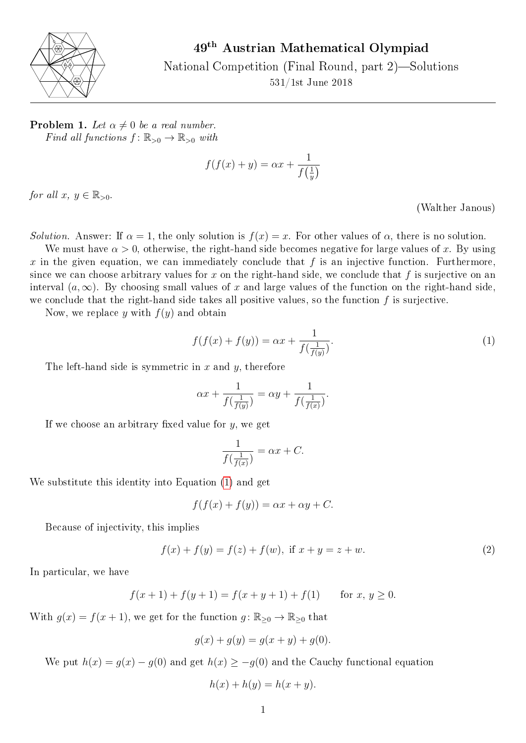

49th Austrian Mathematical Olympiad

National Competition (Final Round, part  $2$ )—Solutions 531/1st June 2018

**Problem 1.** Let  $\alpha \neq 0$  be a real number. Find all functions  $f: \mathbb{R}_{>0} \to \mathbb{R}_{>0}$  with

$$
f(f(x) + y) = \alpha x + \frac{1}{f(\frac{1}{y})}
$$

for all  $x, y \in \mathbb{R}_{>0}$ .

(Walther Janous)

Solution. Answer: If  $\alpha = 1$ , the only solution is  $f(x) = x$ . For other values of  $\alpha$ , there is no solution.

We must have  $\alpha > 0$ , otherwise, the right-hand side becomes negative for large values of x. By using x in the given equation, we can immediately conclude that f is an injective function. Furthermore, since we can choose arbitrary values for x on the right-hand side, we conclude that f is surjective on an interval  $(a,\infty)$ . By choosing small values of x and large values of the function on the right-hand side, we conclude that the right-hand side takes all positive values, so the function  $f$  is surjective.

Now, we replace y with  $f(y)$  and obtain

<span id="page-0-0"></span>
$$
f(f(x) + f(y)) = \alpha x + \frac{1}{f(\frac{1}{f(y)})}.
$$
 (1)

The left-hand side is symmetric in  $x$  and  $y$ , therefore

$$
\alpha x + \frac{1}{f(\frac{1}{f(y)})} = \alpha y + \frac{1}{f(\frac{1}{f(x)})}.
$$

If we choose an arbitrary fixed value for  $y$ , we get

$$
\frac{1}{f(\frac{1}{f(x)})} = \alpha x + C.
$$

We substitute this identity into Equation [\(1\)](#page-0-0) and get

$$
f(f(x) + f(y)) = \alpha x + \alpha y + C.
$$

Because of injectivity, this implies

<span id="page-0-1"></span>
$$
f(x) + f(y) = f(z) + f(w), \text{ if } x + y = z + w.
$$
 (2)

In particular, we have

$$
f(x + 1) + f(y + 1) = f(x + y + 1) + f(1) \quad \text{for } x, y \ge 0.
$$

With  $g(x) = f(x+1)$ , we get for the function  $g: \mathbb{R}_{\geq 0} \to \mathbb{R}_{\geq 0}$  that

$$
g(x) + g(y) = g(x + y) + g(0).
$$

We put  $h(x) = g(x) - g(0)$  and get  $h(x) \ge -g(0)$  and the Cauchy functional equation

$$
h(x) + h(y) = h(x + y).
$$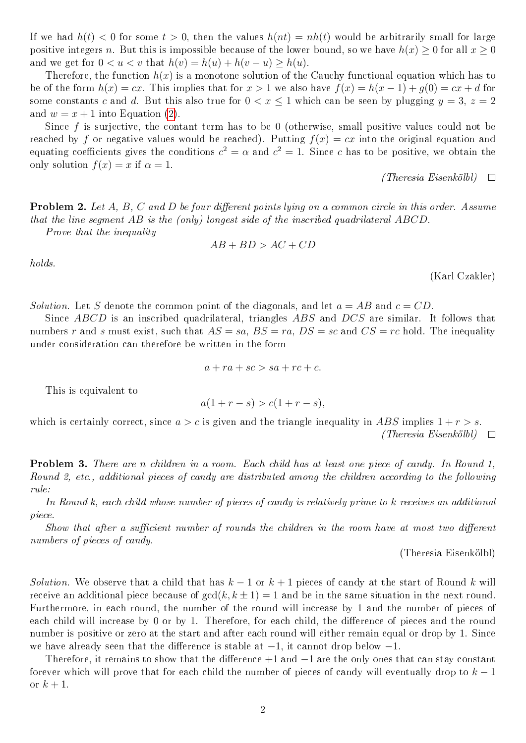If we had  $h(t) < 0$  for some  $t > 0$ , then the values  $h(nt) = nh(t)$  would be arbitrarily small for large positive integers n. But this is impossible because of the lower bound, so we have  $h(x) \geq 0$  for all  $x \geq 0$ and we get for  $0 < u < v$  that  $h(v) = h(u) + h(v - u) > h(u)$ .

Therefore, the function  $h(x)$  is a monotone solution of the Cauchy functional equation which has to be of the form  $h(x) = cx$ . This implies that for  $x > 1$  we also have  $f(x) = h(x - 1) + q(0) = cx + d$  for some constants c and d. But this also true for  $0 < x \le 1$  which can be seen by plugging  $y = 3$ ,  $z = 2$ and  $w = x + 1$  into Equation [\(2\)](#page-0-1).

Since  $f$  is surjective, the contant term has to be 0 (otherwise, small positive values could not be reached by f or negative values would be reached). Putting  $f(x) = cx$  into the original equation and equating coefficients gives the conditions  $c^2 = \alpha$  and  $c^2 = 1$ . Since c has to be positive, we obtain the only solution  $f(x) = x$  if  $\alpha = 1$ .

> (Theresia Eisenkölbl)  $\Box$

**Problem 2.** Let A, B, C and D be four different points lying on a common circle in this order. Assume that the line segment AB is the (only) longest side of the inscribed quadrilateral ABCD.

Prove that the inequality

$$
AB + BD > AC + CD
$$

holds.

(Karl Czakler)

Solution. Let S denote the common point of the diagonals, and let  $a = AB$  and  $c = CD$ .

Since ABCD is an inscribed quadrilateral, triangles ABS and DCS are similar. It follows that numbers r and s must exist, such that  $AS = sa$ ,  $BS = ra$ ,  $DS = sc$  and  $CS = rc$  hold. The inequality under consideration can therefore be written in the form

$$
a + ra + sc > sa + rc + c.
$$

This is equivalent to

$$
a(1 + r - s) > c(1 + r - s),
$$

which is certainly correct, since  $a > c$  is given and the triangle inequality in ABS implies  $1 + r > s$ .  $(Theresia~Eisenköll) \quad \Box$ 

Problem 3. There are n children in a room. Each child has at least one piece of candy. In Round 1, Round 2, etc., additional pieces of candy are distributed among the children according to the following rule:

In Round k, each child whose number of pieces of candy is relatively prime to k receives an additional piece.

Show that after a sufficient number of rounds the children in the room have at most two different numbers of pieces of candy.

(Theresia Eisenkölbl)

Solution. We observe that a child that has  $k-1$  or  $k+1$  pieces of candy at the start of Round k will receive an additional piece because of  $gcd(k, k \pm 1) = 1$  and be in the same situation in the next round. Furthermore, in each round, the number of the round will increase by 1 and the number of pieces of each child will increase by 0 or by 1. Therefore, for each child, the difference of pieces and the round number is positive or zero at the start and after each round will either remain equal or drop by 1. Since we have already seen that the difference is stable at  $-1$ , it cannot drop below  $-1$ .

Therefore, it remains to show that the difference  $+1$  and  $-1$  are the only ones that can stay constant forever which will prove that for each child the number of pieces of candy will eventually drop to  $k-1$ or  $k+1$ .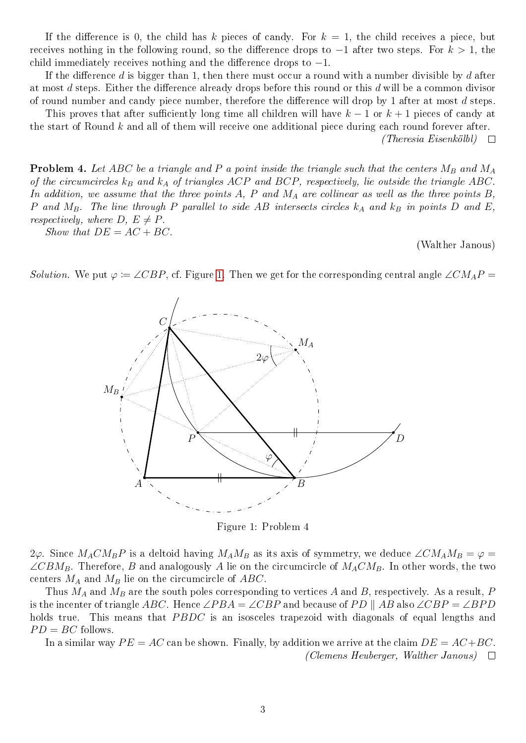If the difference is 0, the child has k pieces of candy. For  $k = 1$ , the child receives a piece, but receives nothing in the following round, so the difference drops to  $-1$  after two steps. For  $k > 1$ , the child immediately receives nothing and the difference drops to  $-1$ .

If the difference d is bigger than 1, then there must occur a round with a number divisible by d after at most d steps. Either the difference already drops before this round or this d will be a common divisor of round number and candy piece number, therefore the difference will drop by 1 after at most  $d$  steps.

This proves that after sufficiently long time all children will have  $k-1$  or  $k+1$  pieces of candy at the start of Round k and all of them will receive one additional piece during each round forever after.

 $(Theresia~Eisenköllol) \quad \Box$ 

**Problem 4.** Let ABC be a triangle and P a point inside the triangle such that the centers  $M_B$  and  $M_A$ of the circumcircles  $k_B$  and  $k_A$  of triangles ACP and BCP, respectively, lie outside the triangle ABC. In addition, we assume that the three points  $A$ ,  $P$  and  $M_A$  are collinear as well as the three points  $B$ , P and  $M_B$ . The line through P parallel to side AB intersects circles  $k_A$  and  $k_B$  in points D and E, respectively, where  $D, E \neq P$ .

Show that  $DE = AC + BC$ .

(Walther Janous)

<span id="page-2-0"></span>Solution. We put  $\varphi := \angle CBP$ , cf. Figure [1.](#page-2-0) Then we get for the corresponding central angle  $\angle CMAP =$ 



Figure 1: Problem 4

 $2\varphi$ . Since  $M_A C M_B P$  is a deltoid having  $M_A M_B$  as its axis of symmetry, we deduce  $\angle C M_A M_B = \varphi =$  $\angle CBM_B$ . Therefore, B and analogously A lie on the circumcircle of  $M_ACM_B$ . In other words, the two centers  $M_A$  and  $M_B$  lie on the circumcircle of ABC.

Thus  $M_A$  and  $M_B$  are the south poles corresponding to vertices A and B, respectively. As a result, P is the incenter of triangle ABC. Hence ∠PBA = ∠CBP and because of PD || AB also ∠CBP = ∠BPD holds true. This means that PBDC is an isosceles trapezoid with diagonals of equal lengths and  $PD = BC$  follows.

In a similar way  $PE = AC$  can be shown. Finally, by addition we arrive at the claim  $DE = AC + BC$ . (Clemens Heuberger, Walther Janous)  $\square$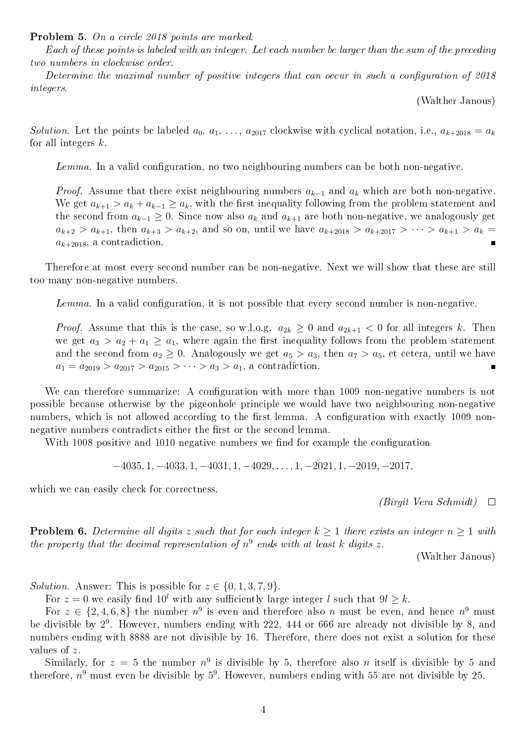Problem 5. On a circle 2018 points are marked.

Each of these points is labeled with an integer. Let each number be larger than the sum of the preceding two numbers in clockwise order.

Determine the maximal number of positive integers that can occur in such a configuration of  $2018$ integers.

(Walther Janous)

Solution. Let the points be labeled  $a_0, a_1, \ldots, a_{2017}$  clockwise with cyclical notation, i.e.,  $a_{k+2018} = a_k$ for all integers  $k$ .

 $Lemma.$  In a valid configuration, no two neighbouring numbers can be both non-negative.

*Proof.* Assume that there exist neighbouring numbers  $a_{k-1}$  and  $a_k$  which are both non-negative. We get  $a_{k+1} > a_k + a_{k-1} \ge a_k$ , with the first inequality following from the problem statement and the second from  $a_{k-1} \geq 0$ . Since now also  $a_k$  and  $a_{k+1}$  are both non-negative, we analogously get  $a_{k+2} > a_{k+1}$ , then  $a_{k+3} > a_{k+2}$ , and so on, until we have  $a_{k+2018} > a_{k+2017} > \cdots > a_{k+1} > a_k =$  $a_{k+2018}$ , a contradiction.

Therefore at most every second number can be non-negative. Next we will show that these are still too many non-negative numbers.

 $Lemma. In a valid configuration, it is is not possible that every second number is non-negative.$ 

*Proof.* Assume that this is the case, so w.l.o.g.  $a_{2k} \geq 0$  and  $a_{2k+1} < 0$  for all integers k. Then we get  $a_3 > a_2 + a_1 \ge a_1$ , where again the first inequality follows from the problem statement and the second from  $a_2 \geq 0$ . Analogously we get  $a_5 > a_3$ , then  $a_7 > a_5$ , et cetera, until we have  $a_1 = a_{2019} > a_{2017} > a_{2015} > \cdots > a_3 > a_1$ , a contradiction.

We can therefore summarize: A configuration with more than 1009 non-negative numbers is not possible because otherwise by the pigeonhole principle we would have two neighbouring non-negative numbers, which is not allowed according to the first lemma. A configuration with exactly 1009 nonnegative numbers contradicts either the first or the second lemma.

With 1008 positive and 1010 negative numbers we find for example the configuration

 $-4035, 1, -4033, 1, -4031, 1, -4029, \ldots, 1, -2021, 1, -2019, -2017,$ 

which we can easily check for correctness.

(Birgit Vera Schmidt)  $\Box$ 

**Problem 6.** Determine all digits z such that for each integer  $k \ge 1$  there exists an integer  $n \ge 1$  with the property that the decimal representation of  $n^9$  ends with at least k digits z.

(Walther Janous)

*Solution.* Answer: This is possible for  $z \in \{0, 1, 3, 7, 9\}$ .

For  $z = 0$  we easily find  $10^l$  with any sufficiently large integer l such that  $9l \geq k$ .

For  $z \in \{2, 4, 6, 8\}$  the number  $n^9$  is even and therefore also n must be even, and hence  $n^9$  must be divisible by  $2^9$ . However, numbers ending with 222, 444 or 666 are already not divisible by 8, and numbers ending with 8888 are not divisible by 16. Therefore, there does not exist a solution for these values of z.

Similarly, for  $z = 5$  the number  $n^9$  is divisible by 5, therefore also n itself is divisible by 5 and therefore,  $n^9$  must even be divisible by  $5^9$ . However, numbers ending with 55 are not divisible by 25.